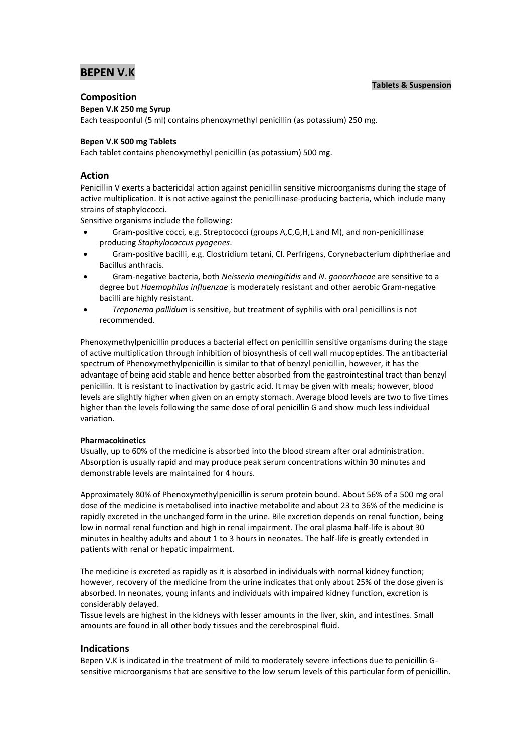# **BEPEN V.K**

## **Tablets & Suspension**

## **Composition**

## **Bepen V.K 250 mg Syrup**

Each teaspoonful (5 ml) contains phenoxymethyl penicillin (as potassium) 250 mg.

## **Bepen V.K 500 mg Tablets**

Each tablet contains phenoxymethyl penicillin (as potassium) 500 mg.

## **Action**

Penicillin V exerts a bactericidal action against penicillin sensitive microorganisms during the stage of active multiplication. It is not active against the penicillinase-producing bacteria, which include many strains of staphylococci.

Sensitive organisms include the following:

- Gram-positive cocci, e.g. Streptococci (groups A,C,G,H,L and M), and non-penicillinase producing *Staphylococcus pyogenes*.
- Gram-positive bacilli, e.g. Clostridium tetani, Cl. Perfrigens, Corynebacterium diphtheriae and Bacillus anthracis.
- Gram-negative bacteria, both *Neisseria meningitidis* and *N. gonorrhoeae* are sensitive to a degree but *Haemophilus influenzae* is moderately resistant and other aerobic Gram-negative bacilli are highly resistant.
- *Treponema pallidum* is sensitive, but treatment of syphilis with oral penicillins is not recommended.

Phenoxymethylpenicillin produces a bacterial effect on penicillin sensitive organisms during the stage of active multiplication through inhibition of biosynthesis of cell wall mucopeptides. The antibacterial spectrum of Phenoxymethylpenicillin is similar to that of benzyl penicillin, however, it has the advantage of being acid stable and hence better absorbed from the gastrointestinal tract than benzyl penicillin. It is resistant to inactivation by gastric acid. It may be given with meals; however, blood levels are slightly higher when given on an empty stomach. Average blood levels are two to five times higher than the levels following the same dose of oral penicillin G and show much less individual variation.

## **Pharmacokinetics**

Usually, up to 60% of the medicine is absorbed into the blood stream after oral administration. Absorption is usually rapid and may produce peak serum concentrations within 30 minutes and demonstrable levels are maintained for 4 hours.

Approximately 80% of Phenoxymethylpenicillin is serum protein bound. About 56% of a 500 mg oral dose of the medicine is metabolised into inactive metabolite and about 23 to 36% of the medicine is rapidly excreted in the unchanged form in the urine. Bile excretion depends on renal function, being low in normal renal function and high in renal impairment. The oral plasma half-life is about 30 minutes in healthy adults and about 1 to 3 hours in neonates. The half-life is greatly extended in patients with renal or hepatic impairment.

The medicine is excreted as rapidly as it is absorbed in individuals with normal kidney function; however, recovery of the medicine from the urine indicates that only about 25% of the dose given is absorbed. In neonates, young infants and individuals with impaired kidney function, excretion is considerably delayed.

Tissue levels are highest in the kidneys with lesser amounts in the liver, skin, and intestines. Small amounts are found in all other body tissues and the cerebrospinal fluid.

## **Indications**

Bepen V.K is indicated in the treatment of mild to moderately severe infections due to penicillin Gsensitive microorganisms that are sensitive to the low serum levels of this particular form of penicillin.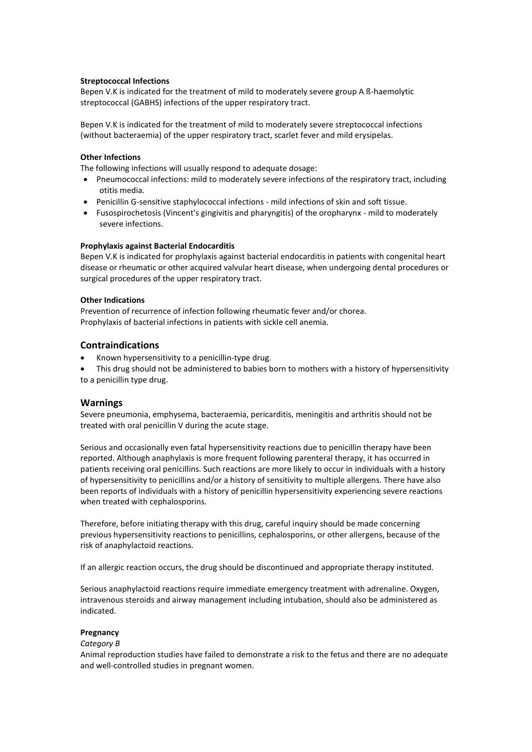## **Streptococcal Infections**

Bepen V.K is indicated for the treatment of mild to moderately severe group A ß-haemolytic streptococcal (GABHS) infections of the upper respiratory tract.

Bepen V.K is indicated for the treatment of mild to moderately severe streptococcal infections (without bacteraemia) of the upper respiratory tract, scarlet fever and mild erysipelas.

#### **Other Infections**

The following infections will usually respond to adequate dosage:

- Pneumococcal infections: mild to moderately severe infections of the respiratory tract, including otitis media.
- Penicillin G-sensitive staphylococcal infections mild infections of skin and soft tissue.
- Fusospirochetosis (Vincent's gingivitis and pharyngitis) of the oropharynx mild to moderately severe infections.

#### **Prophylaxis against Bacterial Endocarditis**

Bepen V.K is indicated for prophylaxis against bacterial endocarditis in patients with congenital heart disease or rheumatic or other acquired valvular heart disease, when undergoing dental procedures or surgical procedures of the upper respiratory tract.

#### **Other Indications**

Prevention of recurrence of infection following rheumatic fever and/or chorea. Prophylaxis of bacterial infections in patients with sickle cell anemia.

## **Contraindications**

- Known hypersensitivity to a penicillin-type drug.
- This drug should not be administered to babies born to mothers with a history of hypersensitivity to a penicillin type drug.

## **Warnings**

Severe pneumonia, emphysema, bacteraemia, pericarditis, meningitis and arthritis should not be treated with oral penicillin V during the acute stage.

Serious and occasionally even fatal hypersensitivity reactions due to penicillin therapy have been reported. Although anaphylaxis is more frequent following parenteral therapy, it has occurred in patients receiving oral penicillins. Such reactions are more likely to occur in individuals with a history of hypersensitivity to penicillins and/or a history of sensitivity to multiple allergens. There have also been reports of individuals with a history of penicillin hypersensitivity experiencing severe reactions when treated with cephalosporins.

Therefore, before initiating therapy with this drug, careful inquiry should be made concerning previous hypersensitivity reactions to penicillins, cephalosporins, or other allergens, because of the risk of anaphylactoid reactions.

If an allergic reaction occurs, the drug should be discontinued and appropriate therapy instituted.

Serious anaphylactoid reactions require immediate emergency treatment with adrenaline. Oxygen, intravenous steroids and airway management including intubation, should also be administered as indicated.

#### **Pregnancy**

#### *Category B*

Animal reproduction studies have failed to demonstrate a risk to the fetus and there are no adequate and well-controlled studies in pregnant women.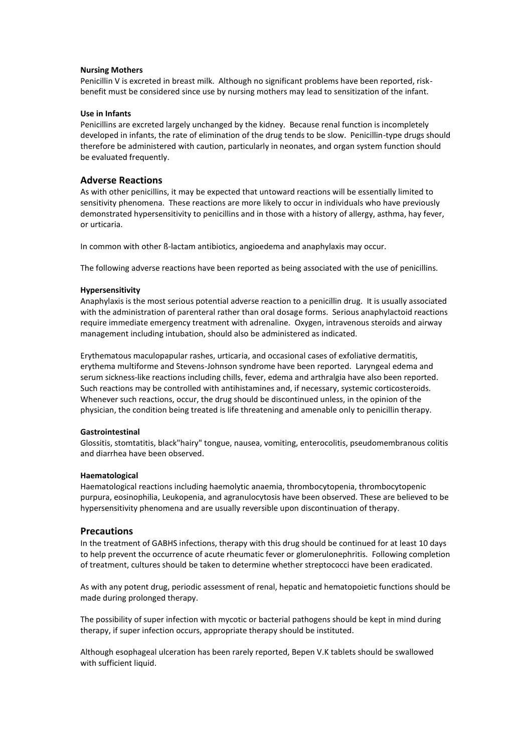#### **Nursing Mothers**

Penicillin V is excreted in breast milk. Although no significant problems have been reported, riskbenefit must be considered since use by nursing mothers may lead to sensitization of the infant.

#### **Use in Infants**

Penicillins are excreted largely unchanged by the kidney. Because renal function is incompletely developed in infants, the rate of elimination of the drug tends to be slow. Penicillin-type drugs should therefore be administered with caution, particularly in neonates, and organ system function should be evaluated frequently.

## **Adverse Reactions**

As with other penicillins, it may be expected that untoward reactions will be essentially limited to sensitivity phenomena. These reactions are more likely to occur in individuals who have previously demonstrated hypersensitivity to penicillins and in those with a history of allergy, asthma, hay fever, or urticaria.

In common with other ß-lactam antibiotics, angioedema and anaphylaxis may occur.

The following adverse reactions have been reported as being associated with the use of penicillins.

#### **Hypersensitivity**

Anaphylaxis is the most serious potential adverse reaction to a penicillin drug. It is usually associated with the administration of parenteral rather than oral dosage forms. Serious anaphylactoid reactions require immediate emergency treatment with adrenaline. Oxygen, intravenous steroids and airway management including intubation, should also be administered as indicated.

Erythematous maculopapular rashes, urticaria, and occasional cases of exfoliative dermatitis, erythema multiforme and Stevens-Johnson syndrome have been reported. Laryngeal edema and serum sickness-like reactions including chills, fever, edema and arthralgia have also been reported. Such reactions may be controlled with antihistamines and, if necessary, systemic corticosteroids. Whenever such reactions, occur, the drug should be discontinued unless, in the opinion of the physician, the condition being treated is life threatening and amenable only to penicillin therapy.

#### **Gastrointestinal**

Glossitis, stomtatitis, black"hairy" tongue, nausea, vomiting, enterocolitis, pseudomembranous colitis and diarrhea have been observed.

#### **Haematological**

Haematological reactions including haemolytic anaemia, thrombocytopenia, thrombocytopenic purpura, eosinophilia, Leukopenia, and agranulocytosis have been observed. These are believed to be hypersensitivity phenomena and are usually reversible upon discontinuation of therapy.

## **Precautions**

In the treatment of GABHS infections, therapy with this drug should be continued for at least 10 days to help prevent the occurrence of acute rheumatic fever or glomerulonephritis. Following completion of treatment, cultures should be taken to determine whether streptococci have been eradicated.

As with any potent drug, periodic assessment of renal, hepatic and hematopoietic functions should be made during prolonged therapy.

The possibility of super infection with mycotic or bacterial pathogens should be kept in mind during therapy, if super infection occurs, appropriate therapy should be instituted.

Although esophageal ulceration has been rarely reported, Bepen V.K tablets should be swallowed with sufficient liquid.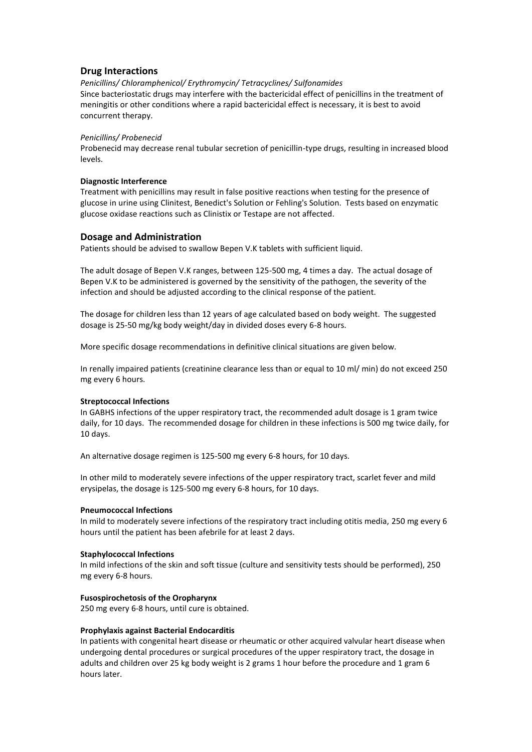## **Drug Interactions**

*Penicillins/ Chloramphenicol/ Erythromycin/ Tetracyclines/ Sulfonamides* Since bacteriostatic drugs may interfere with the bactericidal effect of penicillins in the treatment of meningitis or other conditions where a rapid bactericidal effect is necessary, it is best to avoid concurrent therapy.

#### *Penicillins/ Probenecid*

Probenecid may decrease renal tubular secretion of penicillin-type drugs, resulting in increased blood levels.

#### **Diagnostic Interference**

Treatment with penicillins may result in false positive reactions when testing for the presence of glucose in urine using Clinitest, Benedict's Solution or Fehling's Solution. Tests based on enzymatic glucose oxidase reactions such as Clinistix or Testape are not affected.

## **Dosage and Administration**

Patients should be advised to swallow Bepen V.K tablets with sufficient liquid.

The adult dosage of Bepen V.K ranges, between 125-500 mg, 4 times a day. The actual dosage of Bepen V.K to be administered is governed by the sensitivity of the pathogen, the severity of the infection and should be adjusted according to the clinical response of the patient.

The dosage for children less than 12 years of age calculated based on body weight. The suggested dosage is 25-50 mg/kg body weight/day in divided doses every 6-8 hours.

More specific dosage recommendations in definitive clinical situations are given below.

In renally impaired patients (creatinine clearance less than or equal to 10 ml/ min) do not exceed 250 mg every 6 hours.

#### **Streptococcal Infections**

In GABHS infections of the upper respiratory tract, the recommended adult dosage is 1 gram twice daily, for 10 days. The recommended dosage for children in these infections is 500 mg twice daily, for 10 days.

An alternative dosage regimen is 125-500 mg every 6-8 hours, for 10 days.

In other mild to moderately severe infections of the upper respiratory tract, scarlet fever and mild erysipelas, the dosage is 125-500 mg every 6-8 hours, for 10 days.

#### **Pneumococcal Infections**

In mild to moderately severe infections of the respiratory tract including otitis media, 250 mg every 6 hours until the patient has been afebrile for at least 2 days.

#### **Staphylococcal Infections**

In mild infections of the skin and soft tissue (culture and sensitivity tests should be performed), 250 mg every 6-8 hours.

## **Fusospirochetosis of the Oropharynx**

250 mg every 6-8 hours, until cure is obtained.

#### **Prophylaxis against Bacterial Endocarditis**

In patients with congenital heart disease or rheumatic or other acquired valvular heart disease when undergoing dental procedures or surgical procedures of the upper respiratory tract, the dosage in adults and children over 25 kg body weight is 2 grams 1 hour before the procedure and 1 gram 6 hours later.